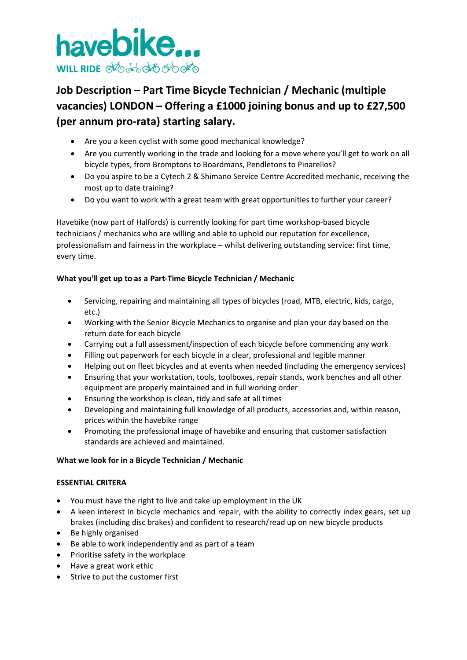

# **Job Description – Part Time Bicycle Technician / Mechanic (multiple vacancies) LONDON – Offering a £1000 joining bonus and up to £27,500 (per annum pro-rata) starting salary.**

- Are you a keen cyclist with some good mechanical knowledge?
- Are you currently working in the trade and looking for a move where you'll get to work on all bicycle types, from Bromptons to Boardmans, Pendletons to Pinarellos?
- Do you aspire to be a Cytech 2 & Shimano Service Centre Accredited mechanic, receiving the most up to date training?
- Do you want to work with a great team with great opportunities to further your career?

Havebike (now part of Halfords) is currently looking for part time workshop-based bicycle technicians / mechanics who are willing and able to uphold our reputation for excellence, professionalism and fairness in the workplace – whilst delivering outstanding service: first time, every time.

## **What you'll get up to as a Part-Time Bicycle Technician / Mechanic**

- Servicing, repairing and maintaining all types of bicycles (road, MTB, electric, kids, cargo, etc.)
- Working with the Senior Bicycle Mechanics to organise and plan your day based on the return date for each bicycle
- Carrying out a full assessment/inspection of each bicycle before commencing any work
- Filling out paperwork for each bicycle in a clear, professional and legible manner
- Helping out on fleet bicycles and at events when needed (including the emergency services)
- Ensuring that your workstation, tools, toolboxes, repair stands, work benches and all other equipment are properly maintained and in full working order
- Ensuring the workshop is clean, tidy and safe at all times
- Developing and maintaining full knowledge of all products, accessories and, within reason, prices within the havebike range
- Promoting the professional image of havebike and ensuring that customer satisfaction standards are achieved and maintained.

## **What we look for in a Bicycle Technician / Mechanic**

## **ESSENTIAL CRITERA**

- You must have the right to live and take up employment in the UK
- A keen interest in bicycle mechanics and repair, with the ability to correctly index gears, set up brakes (including disc brakes) and confident to research/read up on new bicycle products
- Be highly organised
- Be able to work independently and as part of a team
- Prioritise safety in the workplace
- Have a great work ethic
- Strive to put the customer first